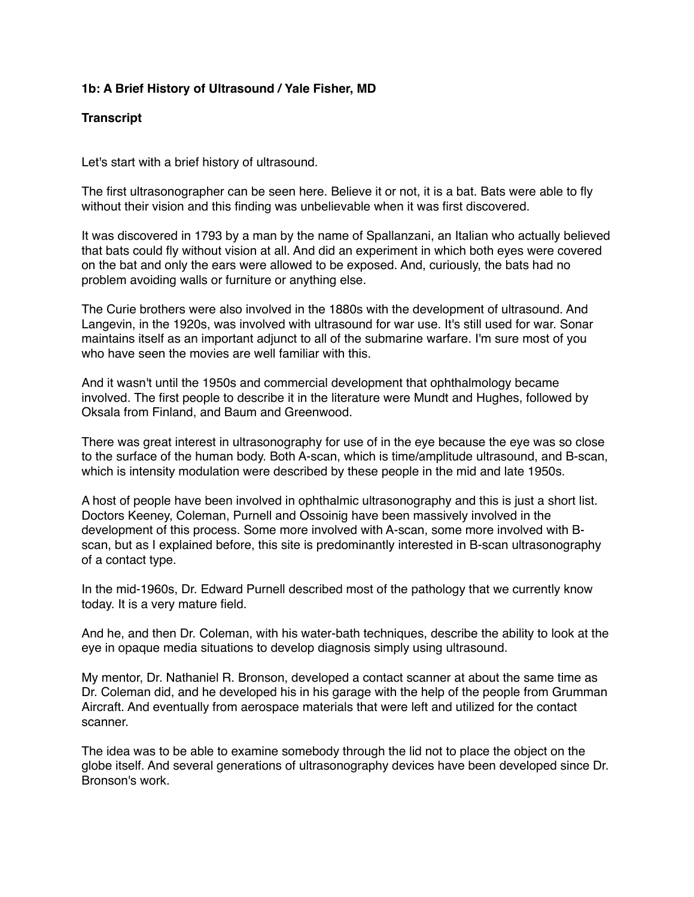## **1b: A Brief History of Ultrasound / Yale Fisher, MD**

## **Transcript**

Let's start with a brief history of ultrasound.

The first ultrasonographer can be seen here. Believe it or not, it is a bat. Bats were able to fly without their vision and this finding was unbelievable when it was first discovered.

It was discovered in 1793 by a man by the name of Spallanzani, an Italian who actually believed that bats could fly without vision at all. And did an experiment in which both eyes were covered on the bat and only the ears were allowed to be exposed. And, curiously, the bats had no problem avoiding walls or furniture or anything else.

The Curie brothers were also involved in the 1880s with the development of ultrasound. And Langevin, in the 1920s, was involved with ultrasound for war use. It's still used for war. Sonar maintains itself as an important adjunct to all of the submarine warfare. I'm sure most of you who have seen the movies are well familiar with this.

And it wasn't until the 1950s and commercial development that ophthalmology became involved. The first people to describe it in the literature were Mundt and Hughes, followed by Oksala from Finland, and Baum and Greenwood.

There was great interest in ultrasonography for use of in the eye because the eye was so close to the surface of the human body. Both A-scan, which is time/amplitude ultrasound, and B-scan, which is intensity modulation were described by these people in the mid and late 1950s.

A host of people have been involved in ophthalmic ultrasonography and this is just a short list. Doctors Keeney, Coleman, Purnell and Ossoinig have been massively involved in the development of this process. Some more involved with A-scan, some more involved with Bscan, but as I explained before, this site is predominantly interested in B-scan ultrasonography of a contact type.

In the mid-1960s, Dr. Edward Purnell described most of the pathology that we currently know today. It is a very mature field.

And he, and then Dr. Coleman, with his water-bath techniques, describe the ability to look at the eye in opaque media situations to develop diagnosis simply using ultrasound.

My mentor, Dr. Nathaniel R. Bronson, developed a contact scanner at about the same time as Dr. Coleman did, and he developed his in his garage with the help of the people from Grumman Aircraft. And eventually from aerospace materials that were left and utilized for the contact scanner.

The idea was to be able to examine somebody through the lid not to place the object on the globe itself. And several generations of ultrasonography devices have been developed since Dr. Bronson's work.